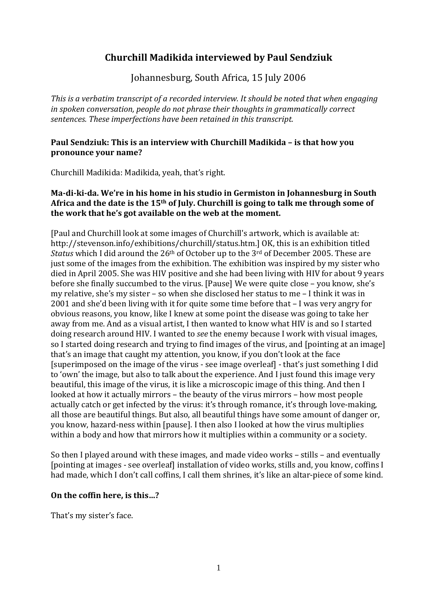# **Churchill Madikida interviewed by Paul Sendziuk**

Johannesburg, South Africa, 15 July 2006

*This is a verbatim transcript of a recorded interview. It should be noted that when engaging in spoken conversation, people do not phrase their thoughts in grammatically correct sentences. These imperfections have been retained in this transcript.* 

#### **Paul Sendziuk: This is an interview with Churchill Madikida – is that how you pronounce your name?**

Churchill Madikida: Madikida, yeah, that's right.

### **Ma-di-ki-da. We're in his home in his studio in Germiston in Johannesburg in South Africa and the date is the 15th of July. Churchill is going to talk me through some of the work that he's got available on the web at the moment.**

[Paul and Churchill look at some images of Churchill's artwork, which is available at: http://stevenson.info/exhibitions/churchill/status.htm.] OK, this is an exhibition titled *Status* which I did around the 26th of October up to the 3rd of December 2005. These are just some of the images from the exhibition. The exhibition was inspired by my sister who died in April 2005. She was HIV positive and she had been living with HIV for about 9 years before she finally succumbed to the virus. [Pause] We were quite close – you know, she's my relative, she's my sister – so when she disclosed her status to me – I think it was in 2001 and she'd been living with it for quite some time before that – I was very angry for obvious reasons, you know, like I knew at some point the disease was going to take her away from me. And as a visual artist, I then wanted to know what HIV is and so I started doing research around HIV. I wanted to *see* the enemy because I work with visual images, so I started doing research and trying to find images of the virus, and [pointing at an image] that's an image that caught my attention, you know, if you don't look at the face [superimposed on the image of the virus - see image overleaf] - that's just something I did to 'own' the image, but also to talk about the experience. And I just found this image very beautiful, this image of the virus, it is like a microscopic image of this thing. And then I looked at how it actually mirrors – the beauty of the virus mirrors – how most people actually catch or get infected by the virus: it's through romance, it's through love-making, all those are beautiful things. But also, all beautiful things have some amount of danger or, you know, hazard-ness within [pause]. I then also I looked at how the virus multiplies within a body and how that mirrors how it multiplies within a community or a society.

So then I played around with these images, and made video works – stills – and eventually [pointing at images - see overleaf] installation of video works, stills and, you know, coffins I had made, which I don't call coffins, I call them shrines, it's like an altar-piece of some kind.

### **On the coffin here, is this…?**

That's my sister's face.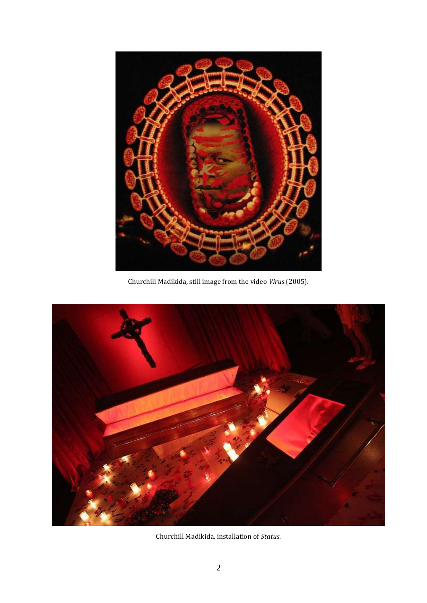

Churchill Madikida, still image from the video *Virus* (2005).



Churchill Madikida, installation of *Status*.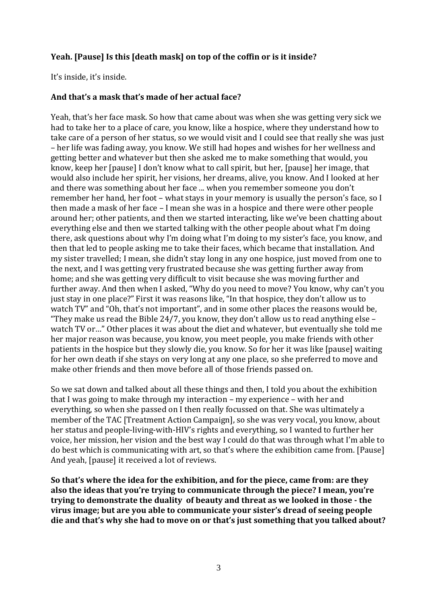## **Yeah. [Pause] Is this [death mask] on top of the coffin or is it inside?**

It's inside, it's inside.

### **And that's a mask that's made of her actual face?**

Yeah, that's her face mask. So how that came about was when she was getting very sick we had to take her to a place of care, you know, like a hospice, where they understand how to take care of a person of her status, so we would visit and I could see that really she was just – her life was fading away, you know. We still had hopes and wishes for her wellness and getting better and whatever but then she asked me to make something that would, you know, keep her [pause] I don't know what to call spirit, but her, [pause] her image, that would also include her spirit, her visions, her dreams, alive, you know. And I looked at her and there was something about her face ... when you remember someone you don't remember her hand, her foot – what stays in your memory is usually the person's face, so I then made a mask of her face – I mean she was in a hospice and there were other people around her; other patients, and then we started interacting, like we've been chatting about everything else and then we started talking with the other people about what I'm doing there, ask questions about why I'm doing what I'm doing to my sister's face, you know, and then that led to people asking me to take their faces, which became that installation. And my sister travelled; I mean, she didn't stay long in any one hospice, just moved from one to the next, and I was getting very frustrated because she was getting further away from home; and she was getting very difficult to visit because she was moving further and further away. And then when I asked, "Why do you need to move? You know, why can't you just stay in one place?" First it was reasons like, "In that hospice, they don't allow us to watch TV" and "Oh, that's not important", and in some other places the reasons would be, "They make us read the Bible 24/7, you know, they don't allow us to read anything else  $$ watch TV or…" Other places it was about the diet and whatever, but eventually she told me her major reason was because, you know, you meet people, you make friends with other patients in the hospice but they slowly die, you know. So for her it was like [pause] waiting for her own death if she stays on very long at any one place, so she preferred to move and make other friends and then move before all of those friends passed on.

So we sat down and talked about all these things and then, I told you about the exhibition that I was going to make through my interaction – my experience – with her and everything, so when she passed on I then really focussed on that. She was ultimately a member of the TAC [Treatment Action Campaign], so she was very vocal, you know, about her status and people-living-with-HIV's rights and everything, so I wanted to further her voice, her mission, her vision and the best way I could do that was through what I'm able to do best which is communicating with art, so that's where the exhibition came from. [Pause] And yeah, [pause] it received a lot of reviews.

**So that's where the idea for the exhibition, and for the piece, came from: are they also the ideas that you're trying to communicate through the piece? I mean, you're trying to demonstrate the duality of beauty and threat as we looked in those - the virus image; but are you able to communicate your sister's dread of seeing people die and that's why she had to move on or that's just something that you talked about?**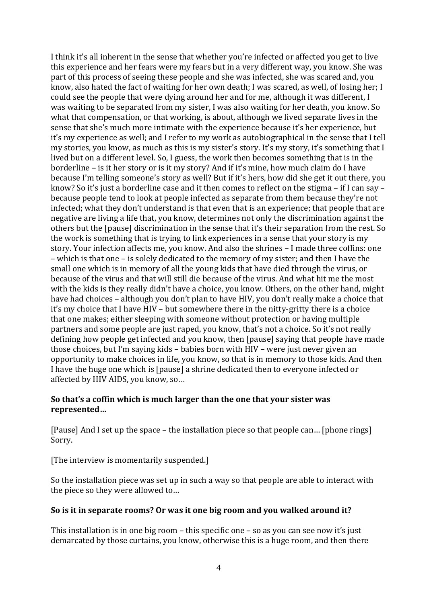I think it's all inherent in the sense that whether you're infected or affected you get to live this experience and her fears were my fears but in a very different way, you know. She was part of this process of seeing these people and she was infected, she was scared and, you know, also hated the fact of waiting for her own death; I was scared, as well, of losing her; I could see the people that were dying around her and for me, although it was different, I was waiting to be separated from my sister, I was also waiting for her death, you know. So what that compensation, or that working, is about, although we lived separate lives in the sense that she's much more intimate with the experience because it's her experience, but it's my experience as well; and I refer to my work as autobiographical in the sense that I tell my stories, you know, as much as this is my sister's story. It's my story, it's something that I lived but on a different level. So, I guess, the work then becomes something that is in the borderline – is it her story or is it my story? And if it's mine, how much claim do I have because I'm telling someone's story as well? But if it's hers, how did she get it out there, you know? So it's just a borderline case and it then comes to reflect on the stigma – if I can say – because people tend to look at people infected as separate from them because they're not infected; what they don't understand is that even that is an experience; that people that are negative are living a life that, you know, determines not only the discrimination against the others but the [pause] discrimination in the sense that it's their separation from the rest. So the work is something that is trying to link experiences in a sense that your story is my story. Your infection affects me, you know. And also the shrines – I made three coffins: one – which is that one – is solely dedicated to the memory of my sister; and then I have the small one which is in memory of all the young kids that have died through the virus, or because of the virus and that will still die because of the virus. And what hit me the most with the kids is they really didn't have a choice, you know. Others, on the other hand, might have had choices – although you don't plan to have HIV, you don't really make a choice that it's my choice that I have HIV – but somewhere there in the nitty-gritty there is a choice that one makes; either sleeping with someone without protection or having multiple partners and some people are just raped, you know, that's not a choice. So it's not really defining how people get infected and you know, then [pause] saying that people have made those choices, but I'm saying kids – babies born with HIV – were just never given an opportunity to make choices in life, you know, so that is in memory to those kids. And then I have the huge one which is [pause] a shrine dedicated then to everyone infected or affected by HIV AIDS, you know, so…

### **So that's a coffin which is much larger than the one that your sister was represented…**

[Pause] And I set up the space – the installation piece so that people can… [phone rings] Sorry.

[The interview is momentarily suspended.]

So the installation piece was set up in such a way so that people are able to interact with the piece so they were allowed to…

## **So is it in separate rooms? Or was it one big room and you walked around it?**

This installation is in one big room – this specific one – so as you can see now it's just demarcated by those curtains, you know, otherwise this is a huge room, and then there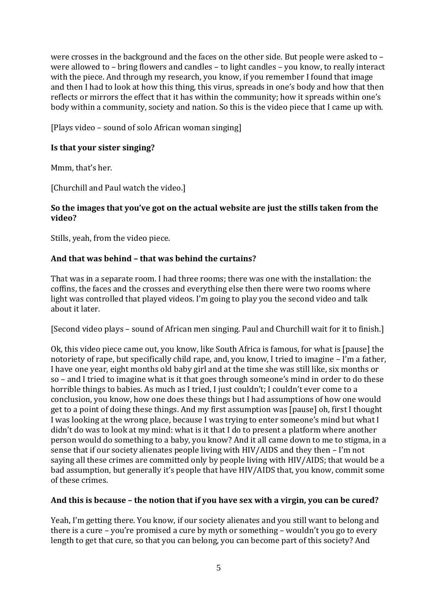were crosses in the background and the faces on the other side. But people were asked to – were allowed to – bring flowers and candles – to light candles – you know, to really interact with the piece. And through my research, you know, if you remember I found that image and then I had to look at how this thing, this virus, spreads in one's body and how that then reflects or mirrors the effect that it has within the community; how it spreads within one's body within a community, society and nation. So this is the video piece that I came up with.

[Plays video – sound of solo African woman singing]

### **Is that your sister singing?**

Mmm, that's her.

[Churchill and Paul watch the video.]

### **So the images that you've got on the actual website are just the stills taken from the video?**

Stills, yeah, from the video piece.

### **And that was behind – that was behind the curtains?**

That was in a separate room. I had three rooms; there was one with the installation: the coffins, the faces and the crosses and everything else then there were two rooms where light was controlled that played videos. I'm going to play you the second video and talk about it later.

[Second video plays – sound of African men singing. Paul and Churchill wait for it to finish.]

Ok, this video piece came out, you know, like South Africa is famous, for what is [pause] the notoriety of rape, but specifically child rape, and, you know, I tried to imagine – I'm a father, I have one year, eight months old baby girl and at the time she was still like, six months or so – and I tried to imagine what is it that goes through someone's mind in order to do these horrible things to babies. As much as I tried, I just couldn't; I couldn't ever come to a conclusion, you know, how one does these things but I had assumptions of how one would get to a point of doing these things. And my first assumption was [pause] oh, first I thought I was looking at the wrong place, because I was trying to enter someone's mind but what I didn't do was to look at my mind: what is it that I do to present a platform where another person would do something to a baby, you know? And it all came down to me to stigma, in a sense that if our society alienates people living with HIV/AIDS and they then – I'm not saying all these crimes are committed only by people living with HIV/AIDS; that would be a bad assumption, but generally it's people that have HIV/AIDS that, you know, commit some of these crimes.

### **And this is because – the notion that if you have sex with a virgin, you can be cured?**

Yeah, I'm getting there. You know, if our society alienates and you still want to belong and there is a cure – you're promised a cure by myth or something – wouldn't you go to every length to get that cure, so that you can belong, you can become part of this society? And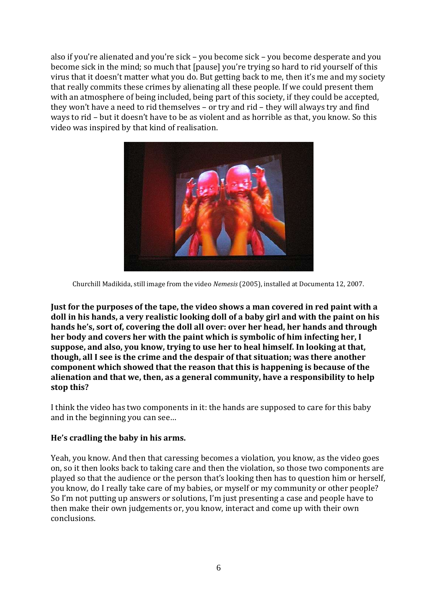also if you're alienated and you're sick – you become sick – you become desperate and you become sick in the mind; so much that [pause] you're trying so hard to rid yourself of this virus that it doesn't matter what you do. But getting back to me, then it's me and my society that really commits these crimes by alienating all these people. If we could present them with an atmosphere of being included, being part of this society, if they could be accepted, they won't have a need to rid themselves – or try and rid – they will always try and find ways to rid – but it doesn't have to be as violent and as horrible as that, you know. So this video was inspired by that kind of realisation.



Churchill Madikida, still image from the video *Nemesis* (2005), installed at Documenta 12, 2007.

**Just for the purposes of the tape, the video shows a man covered in red paint with a doll in his hands, a very realistic looking doll of a baby girl and with the paint on his hands he's, sort of, covering the doll all over: over her head, her hands and through her body and covers her with the paint which is symbolic of him infecting her, I suppose, and also, you know, trying to use her to heal himself. In looking at that, though, all I see is the crime and the despair of that situation; was there another component which showed that the reason that this is happening is because of the alienation and that we, then, as a general community, have a responsibility to help stop this?**

I think the video has two components in it: the hands are supposed to care for this baby and in the beginning you can see…

### **He's cradling the baby in his arms.**

Yeah, you know. And then that caressing becomes a violation, you know, as the video goes on, so it then looks back to taking care and then the violation, so those two components are played so that the audience or the person that's looking then has to question him or herself, you know, do I really take care of my babies, or myself or my community or other people? So I'm not putting up answers or solutions, I'm just presenting a case and people have to then make their own judgements or, you know, interact and come up with their own conclusions.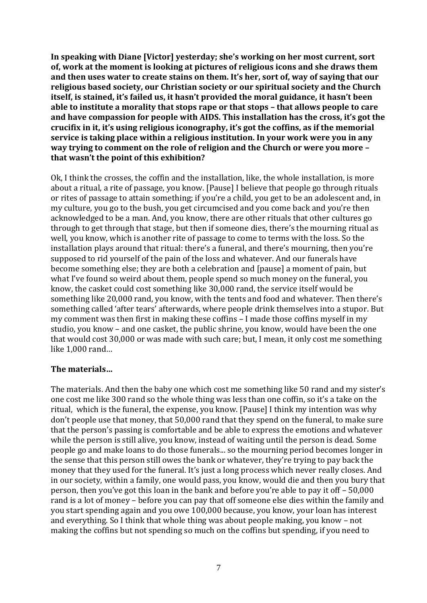**In speaking with Diane [Victor] yesterday; she's working on her most current, sort of, work at the moment is looking at pictures of religious icons and she draws them and then uses water to create stains on them. It's her, sort of, way of saying that our religious based society, our Christian society or our spiritual society and the Church itself, is stained, it's failed us, it hasn't provided the moral guidance, it hasn't been able to institute a morality that stops rape or that stops – that allows people to care and have compassion for people with AIDS. This installation has the cross, it's got the crucifix in it, it's using religious iconography, it's got the coffins, as if the memorial service is taking place within a religious institution. In your work were you in any way trying to comment on the role of religion and the Church or were you more – that wasn't the point of this exhibition?**

Ok, I think the crosses, the coffin and the installation, like, the whole installation, is more about a ritual, a rite of passage, you know. [Pause] I believe that people go through rituals or rites of passage to attain something; if you're a child, you get to be an adolescent and, in my culture, you go to the bush, you get circumcised and you come back and you're then acknowledged to be a man. And, you know, there are other rituals that other cultures go through to get through that stage, but then if someone dies, there's the mourning ritual as well, you know, which is another rite of passage to come to terms with the loss. So the installation plays around that ritual: there's a funeral, and there's mourning, then you're supposed to rid yourself of the pain of the loss and whatever. And our funerals have become something else; they are both a celebration and [pause] a moment of pain, but what I've found so weird about them, people spend so much money on the funeral, you know, the casket could cost something like 30,000 rand, the service itself would be something like 20,000 rand, you know, with the tents and food and whatever. Then there's something called 'after tears' afterwards, where people drink themselves into a stupor. But my comment was then first in making these coffins – I made those coffins myself in my studio, you know – and one casket, the public shrine, you know, would have been the one that would cost 30,000 or was made with such care; but, I mean, it only cost me something like 1,000 rand…

### **The materials…**

The materials. And then the baby one which cost me something like 50 rand and my sister's one cost me like 300 rand so the whole thing was less than one coffin, so it's a take on the ritual, which is the funeral, the expense, you know. [Pause] I think my intention was why don't people use that money, that 50,000 rand that they spend on the funeral, to make sure that the person's passing is comfortable and be able to express the emotions and whatever while the person is still alive, you know, instead of waiting until the person is dead. Some people go and make loans to do those funerals... so the mourning period becomes longer in the sense that this person still owes the bank or whatever, they're trying to pay back the money that they used for the funeral. It's just a long process which never really closes. And in our society, within a family, one would pass, you know, would die and then you bury that person, then you've got this loan in the bank and before you're able to pay it off – 50,000 rand is a lot of money – before you can pay that off someone else dies within the family and you start spending again and you owe 100,000 because, you know, your loan has interest and everything. So I think that whole thing was about people making, you know – not making the coffins but not spending so much on the coffins but spending, if you need to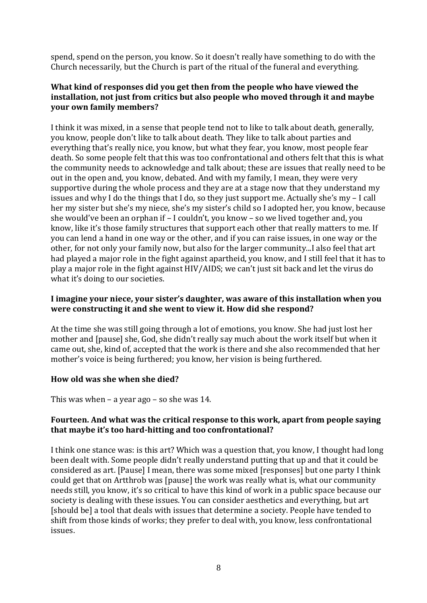spend, spend on the person, you know. So it doesn't really have something to do with the Church necessarily, but the Church is part of the ritual of the funeral and everything.

### **What kind of responses did you get then from the people who have viewed the installation, not just from critics but also people who moved through it and maybe your own family members?**

I think it was mixed, in a sense that people tend not to like to talk about death, generally, you know, people don't like to talk about death. They like to talk about parties and everything that's really nice, you know, but what they fear, you know, most people fear death. So some people felt that this was too confrontational and others felt that this is what the community needs to acknowledge and talk about; these are issues that really need to be out in the open and, you know, debated. And with my family, I mean, they were very supportive during the whole process and they are at a stage now that they understand my issues and why I do the things that I do, so they just support me. Actually she's my – I call her my sister but she's my niece, she's my sister's child so I adopted her, you know, because she would've been an orphan if – I couldn't, you know – so we lived together and, you know, like it's those family structures that support each other that really matters to me. If you can lend a hand in one way or the other, and if you can raise issues, in one way or the other, for not only your family now, but also for the larger community...I also feel that art had played a major role in the fight against apartheid, you know, and I still feel that it has to play a major role in the fight against HIV/AIDS; we can't just sit back and let the virus do what it's doing to our societies.

### **I imagine your niece, your sister's daughter, was aware of this installation when you were constructing it and she went to view it. How did she respond?**

At the time she was still going through a lot of emotions, you know. She had just lost her mother and [pause] she, God, she didn't really say much about the work itself but when it came out, she, kind of, accepted that the work is there and she also recommended that her mother's voice is being furthered; you know, her vision is being furthered.

### **How old was she when she died?**

This was when – a year ago – so she was 14.

### **Fourteen. And what was the critical response to this work, apart from people saying that maybe it's too hard-hitting and too confrontational?**

I think one stance was: is this art? Which was a question that, you know, I thought had long been dealt with. Some people didn't really understand putting that up and that it could be considered as art. [Pause] I mean, there was some mixed [responses] but one party I think could get that on Artthrob was [pause] the work was really what is, what our community needs still, you know, it's so critical to have this kind of work in a public space because our society is dealing with these issues. You can consider aesthetics and everything, but art [should be] a tool that deals with issues that determine a society. People have tended to shift from those kinds of works; they prefer to deal with, you know, less confrontational issues.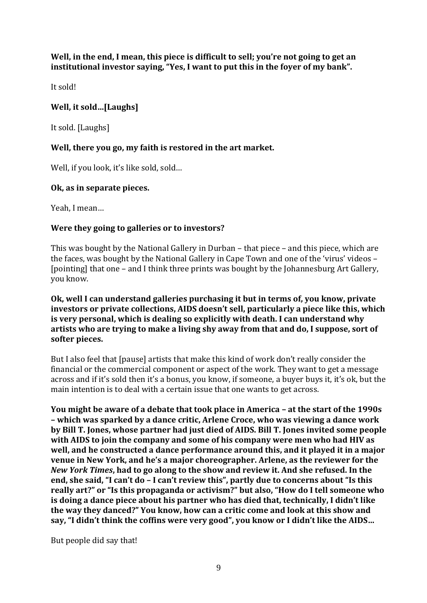**Well, in the end, I mean, this piece is difficult to sell; you're not going to get an institutional investor saying, "Yes, I want to put this in the foyer of my bank".**

It sold!

## **Well, it sold…[Laughs]**

It sold. [Laughs]

## **Well, there you go, my faith is restored in the art market.**

Well, if you look, it's like sold, sold…

## **Ok, as in separate pieces.**

Yeah, I mean…

## **Were they going to galleries or to investors?**

This was bought by the National Gallery in Durban – that piece – and this piece, which are the faces, was bought by the National Gallery in Cape Town and one of the 'virus' videos – [pointing] that one – and I think three prints was bought by the Johannesburg Art Gallery, you know.

### **Ok, well I can understand galleries purchasing it but in terms of, you know, private investors or private collections, AIDS doesn't sell, particularly a piece like this, which is very personal, which is dealing so explicitly with death. I can understand why artists who are trying to make a living shy away from that and do, I suppose, sort of softer pieces.**

But I also feel that [pause] artists that make this kind of work don't really consider the financial or the commercial component or aspect of the work. They want to get a message across and if it's sold then it's a bonus, you know, if someone, a buyer buys it, it's ok, but the main intention is to deal with a certain issue that one wants to get across.

**You might be aware of a debate that took place in America – at the start of the 1990s – which was sparked by a dance critic, Arlene Croce, who was viewing a dance work by Bill T. Jones, whose partner had just died of AIDS. Bill T. Jones invited some people with AIDS to join the company and some of his company were men who had HIV as well, and he constructed a dance performance around this, and it played it in a major venue in New York, and he's a major choreographer. Arlene, as the reviewer for the**  *New York Times***, had to go along to the show and review it. And she refused. In the end, she said, "I can't do – I can't review this", partly due to concerns about "Is this really art?" or "Is this propaganda or activism?" but also, "How do I tell someone who is doing a dance piece about his partner who has died that, technically, I didn't like the way they danced?" You know, how can a critic come and look at this show and say, "I didn't think the coffins were very good", you know or I didn't like the AIDS…**

But people did say that!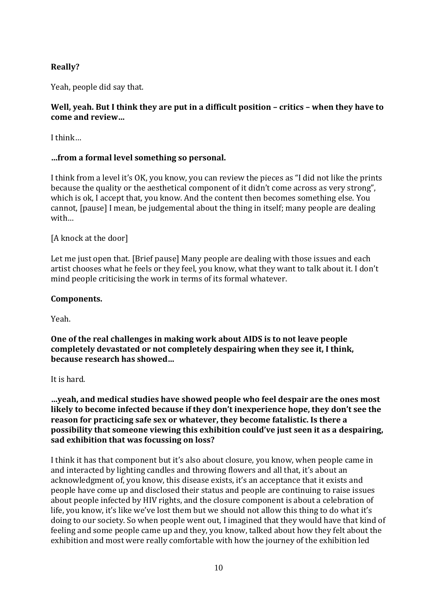## **Really?**

Yeah, people did say that.

### **Well, yeah. But I think they are put in a difficult position – critics – when they have to come and review…**

I think…

### **…from a formal level something so personal.**

I think from a level it's OK, you know, you can review the pieces as "I did not like the prints because the quality or the aesthetical component of it didn't come across as very strong", which is ok, I accept that, you know. And the content then becomes something else. You cannot, [pause] I mean, be judgemental about the thing in itself; many people are dealing with…

### [A knock at the door]

Let me just open that. [Brief pause] Many people are dealing with those issues and each artist chooses what he feels or they feel, you know, what they want to talk about it. I don't mind people criticising the work in terms of its formal whatever.

#### **Components.**

Yeah.

**One of the real challenges in making work about AIDS is to not leave people completely devastated or not completely despairing when they see it, I think, because research has showed…**

It is hard.

**…yeah, and medical studies have showed people who feel despair are the ones most likely to become infected because if they don't inexperience hope, they don't see the reason for practicing safe sex or whatever, they become fatalistic. Is there a possibility that someone viewing this exhibition could've just seen it as a despairing, sad exhibition that was focussing on loss?**

I think it has that component but it's also about closure, you know, when people came in and interacted by lighting candles and throwing flowers and all that, it's about an acknowledgment of, you know, this disease exists, it's an acceptance that it exists and people have come up and disclosed their status and people are continuing to raise issues about people infected by HIV rights, and the closure component is about a celebration of life, you know, it's like we've lost them but we should not allow this thing to do what it's doing to our society. So when people went out, I imagined that they would have that kind of feeling and some people came up and they, you know, talked about how they felt about the exhibition and most were really comfortable with how the journey of the exhibition led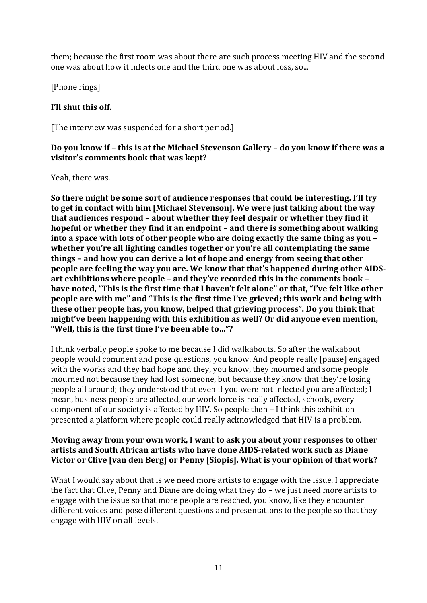them; because the first room was about there are such process meeting HIV and the second one was about how it infects one and the third one was about loss, so...

[Phone rings]

### **I'll shut this off.**

[The interview was suspended for a short period.]

### **Do you know if – this is at the Michael Stevenson Gallery – do you know if there was a visitor's comments book that was kept?**

Yeah, there was.

**So there might be some sort of audience responses that could be interesting. I'll try to get in contact with him [Michael Stevenson]. We were just talking about the way that audiences respond – about whether they feel despair or whether they find it hopeful or whether they find it an endpoint – and there is something about walking into a space with lots of other people who are doing exactly the same thing as you – whether you're all lighting candles together or you're all contemplating the same things – and how you can derive a lot of hope and energy from seeing that other people are feeling the way you are. We know that that's happened during other AIDSart exhibitions where people – and they've recorded this in the comments book – have noted, "This is the first time that I haven't felt alone" or that, "I've felt like other people are with me" and "This is the first time I've grieved; this work and being with these other people has, you know, helped that grieving process". Do you think that might've been happening with this exhibition as well? Or did anyone even mention, "Well, this is the first time I've been able to…"?**

I think verbally people spoke to me because I did walkabouts. So after the walkabout people would comment and pose questions, you know. And people really [pause] engaged with the works and they had hope and they, you know, they mourned and some people mourned not because they had lost someone, but because they know that they're losing people all around; they understood that even if you were not infected you are affected; I mean, business people are affected, our work force is really affected, schools, every component of our society is affected by HIV. So people then – I think this exhibition presented a platform where people could really acknowledged that HIV is a problem.

### **Moving away from your own work, I want to ask you about your responses to other artists and South African artists who have done AIDS-related work such as Diane Victor or Clive [van den Berg] or Penny [Siopis]. What is your opinion of that work?**

What I would say about that is we need more artists to engage with the issue. I appreciate the fact that Clive, Penny and Diane are doing what they do – we just need more artists to engage with the issue so that more people are reached, you know, like they encounter different voices and pose different questions and presentations to the people so that they engage with HIV on all levels.